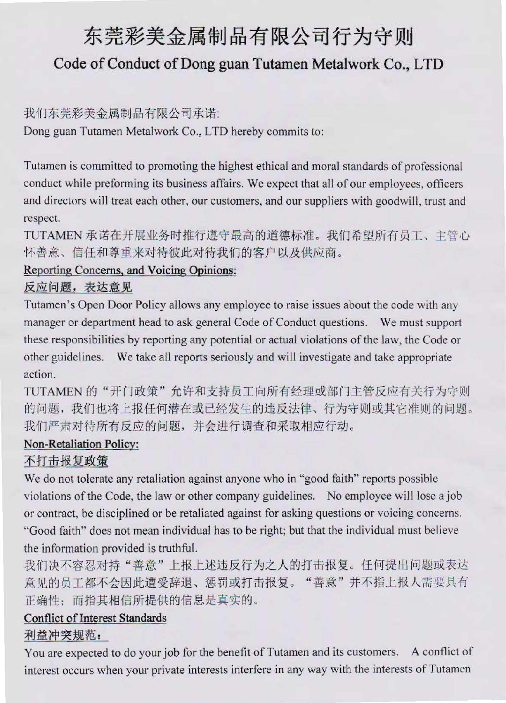# 东莞彩美金属制品有限公司行为守则 Code of Conduct of Dong guan Tutamen Metalwork Co., LTD

## 我们东莞彩美金属制品有限公司承诺:

Dong guan Tutamen Metalwork Co., LTD hereby commits to:

Tutamen is committed to promoting the highest ethical and moral standards of professional conduct while preforming its business affairs. We expect that all of our employees, officers and directors will treat each other, our customers, and our suppliers with goodwill, trust and respect.

TUTAMEN 承诺在开展业务时推行遵守最高的道德标准。我们希望所有员工、主管心 怀善意、信任和尊重来对待彼此对待我们的客户以及供应商。

# Reporting Concerns, and Voicing Opinions:

反应问题,表达意见

Tutamen's Open Door Policy allows any employee to raise issues about the code with any manager or department head to ask general Code of Conduct questions. We must support these responsibilities by reporting any potential or actual violations of the law, the Code or other guidelines. We take all reports seriously and will investigate and take appropriate action.

TUTAMEN 的"开门政策"允许和支持员工向所有经理或部门主管反应有关行为守则 的问题,我们也将上报任何潜在或已经发生的违反法律、行为守则或其它准则的问题。 我们严肃对待所有反应的问题,并会进行调查和采取相应行动。

### Non-Retaliation Policy:

## 不打击报复政策

We do not tolerate any retaliation against anyone who in "good faith" reports possible violations of the Code, the law or other company guidelines. No employee will lose a job or contract, be disciplined or be retaliated against for asking questions or voicing concerns. "Good faith" does not mean individual has to be right; but that the individual must believe the information provided is truthful.

我们决不容忍对持"善意"上报上述违反行为之人的打击报复。任何提出问题或表达 意见的员工都不会因此遭受辞退、惩罚或打击报复。"善意"并不指上报人需要具有 正确性;而指其相信所提供的信息是真实的。

## **Conflict of Interest Standards**

### 利益冲突规范:

You are expected to do your job for the benefit of Tutamen and its customers. A conflict of interest occurs when your private interests interfere in any way with the interests of Tutamen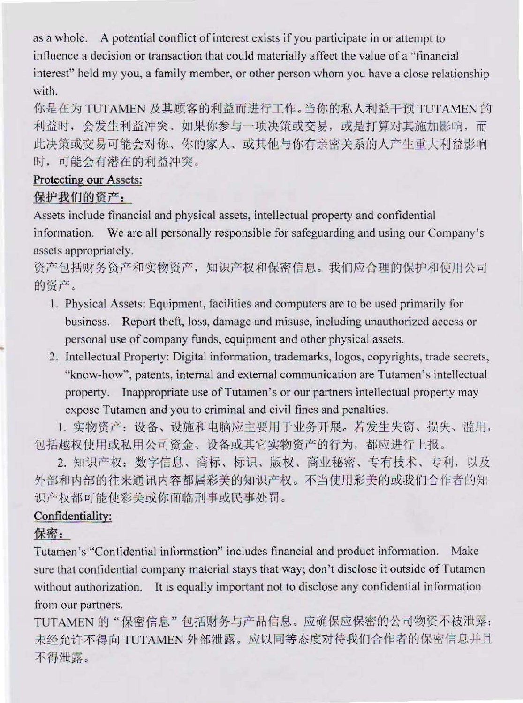as a whole. A potential conflict of interest exists if you participate in or attempt to influence a decision or transaction that could materially affect the value of a "financial" interest" held my you, a family member, or other person whom you have a close relationship with.

你是在为 TUTAMEN 及其顾客的利益而进行工作。当你的私人利益干预 TUTAMEN 的 利益时, 会发生利益冲突。如果你参与一项决策或交易, 或是打算对其施加影响, 而 此决策或交易可能会对你、你的家人、或其他与你有亲密关系的人产生重大利益影响 时,可能会有潜在的利益冲突。

#### Protecting our Assets:

#### 保护我们的资产:

Assets include financial and physical assets, intellectual property and confidential information. We are all personally responsible for safeguarding and using our Company's assets appropriately.

资产包括财务资产和实物资产,知识产权和保密信息。我们应合理的保护和使用公司 的资产。

- 1. Physical Assets: Equipment, facilities and computers are to be used primarily for business. Report theft, loss, damage and misuse, including unauthorized access or personal use of company funds, equipment and other physical assets.
- 2. Intellectual Property: Digital information, trademarks, logos, copyrights, trade secrets, "know-how", patents, internal and external communication are Tutamen's intellectual property. Inappropriate use of Tutamen's or our partners intellectual property may expose Tutamen and you to criminal and civil fines and penalties.

1. 实物资产: 设备、设施和电脑应主要用于业务开展。若发生失窃、损失、滥用, 包括越权使用或私用公司资金、设备或其它实物资产的行为,都应进行上报。

2. 知识产权: 数字信息、商标、标识、版权、商业秘密、专有技术、专利, 以及 外部和内部的往来通讯内容都属彩美的知识产权。不当使用彩美的或我们合作者的知 识产权都可能使彩美或你面临刑事或民事处罚。

#### Confidentiality:

#### 保密:

Tutamen's "Confidential information" includes financial and product information. Make sure that confidential company material stays that way; don't disclose it outside of Tutamen without authorization. It is equally important not to disclose any confidential information from our partners.

TUTAMEN 的"保密信息"包括财务与产品信息。应确保应保密的公司物资不被泄露; 未经允许不得向 TUTAMEN 外部泄露。应以同等态度对待我们合作者的保密信息并且 不得泄露。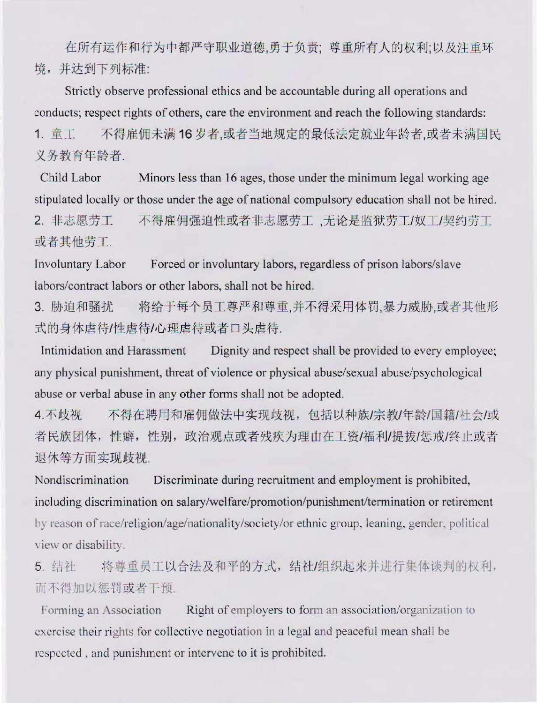在所有运作和行为中都严守职业道德,勇于负责;尊重所有人的权利;以及注重环 境,并达到下列标准:

Strictly observe professional ethics and be accountable during all operations and conducts; respect rights of others, care the environment and reach the following standards: 不得雇佣未满16岁者,或者当地规定的最低法定就业年龄者,或者未满国民 1. 童工

义务教育年龄者.

Child Labor Minors less than 16 ages, those under the minimum legal working age stipulated locally or those under the age of national compulsory education shall not be hired. 2. 非志愿劳工 不得雇佣强迫性或者非志愿劳工,无论是监狱劳工/奴工/契约劳工

或者其他劳工.

**Involuntary Labor** Forced or involuntary labors, regardless of prison labors/slave labors/contract labors or other labors, shall not be hired.

将给于每个员工尊严和尊重,并不得采用体罚,暴力威胁,或者其他形 3. 胁迫和骚扰 式的身体虐待/性虐待/心理虐待或者口头虐待.

Dignity and respect shall be provided to every employee; Intimidation and Harassment any physical punishment, threat of violence or physical abuse/sexual abuse/psychological abuse or verbal abuse in any other forms shall not be adopted.

不得在聘用和雇佣做法中实现歧视, 包括以种族/宗教/年龄/国籍/社会/或 4. 不歧视 者民族团体,性癖,性别,政治观点或者残疾为理由在工资/福利/提拔/惩戒/终止或者 退休等方面实现歧视.

Nondiscrimination Discriminate during recruitment and employment is prohibited, including discrimination on salary/welfare/promotion/punishment/termination or retirement by reason of race/religion/age/nationality/society/or ethnic group, leaning, gender, political view or disability.

将尊重员工以合法及和平的方式,结社/组织起来并进行集体谈判的权利, 5. 结社 而不得加以惩罚或者干预.

Forming an Association Right of employers to form an association/organization to exercise their rights for collective negotiation in a legal and peaceful mean shall be respected, and punishment or intervene to it is prohibited.